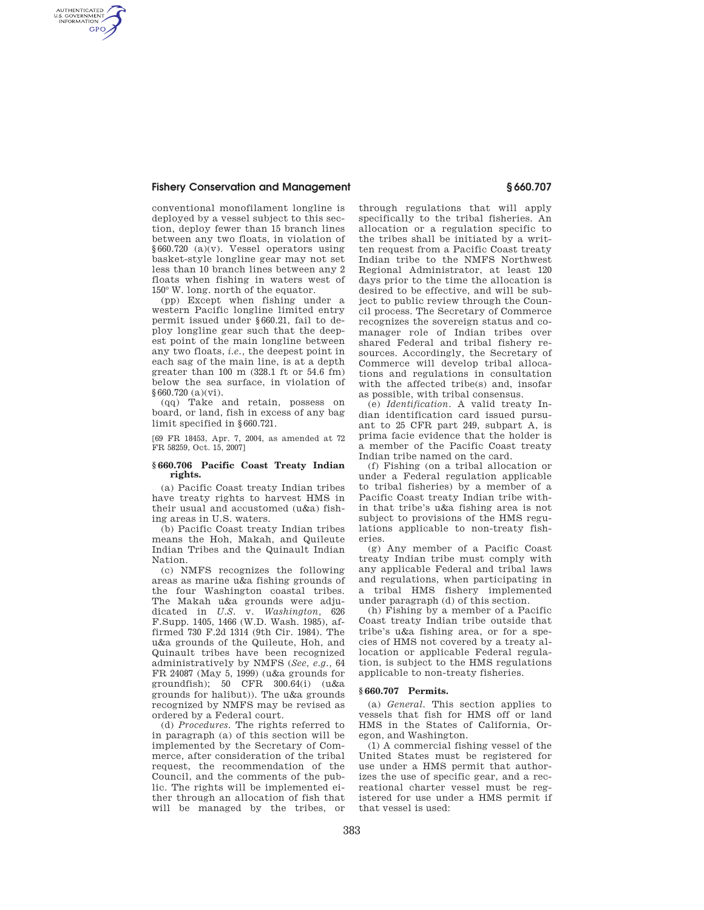## **Fishery Conservation and Management § 660.707**

AUTHENTICATED<br>U.S. GOVERNMENT<br>INFORMATION **GPO** 

> conventional monofilament longline is deployed by a vessel subject to this section, deploy fewer than 15 branch lines between any two floats, in violation of §660.720 (a)(v). Vessel operators using basket-style longline gear may not set less than 10 branch lines between any 2 floats when fishing in waters west of 150° W. long. north of the equator.

> (pp) Except when fishing under a western Pacific longline limited entry permit issued under §660.21, fail to deploy longline gear such that the deepest point of the main longline between any two floats, *i.e.,* the deepest point in each sag of the main line, is at a depth greater than 100 m (328.1 ft or 54.6 fm) below the sea surface, in violation of §660.720 (a)(vi).

> (qq) Take and retain, possess on board, or land, fish in excess of any bag limit specified in §660.721.

> [69 FR 18453, Apr. 7, 2004, as amended at 72 FR 58259, Oct. 15, 2007]

## **§ 660.706 Pacific Coast Treaty Indian rights.**

(a) Pacific Coast treaty Indian tribes have treaty rights to harvest HMS in their usual and accustomed (u&a) fishing areas in U.S. waters.

(b) Pacific Coast treaty Indian tribes means the Hoh, Makah, and Quileute Indian Tribes and the Quinault Indian Nation.

(c) NMFS recognizes the following areas as marine u&a fishing grounds of the four Washington coastal tribes. The Makah u&a grounds were adjudicated in *U.S.* v. *Washington,* 626 F.Supp. 1405, 1466 (W.D. Wash. 1985), affirmed 730 F.2d 1314 (9th Cir. 1984). The u&a grounds of the Quileute, Hoh, and Quinault tribes have been recognized administratively by NMFS (*See, e.g.,* 64 FR 24087 (May 5, 1999) (u&a grounds for groundfish); 50 CFR 300.64(i) (u&a grounds for halibut)). The u&a grounds recognized by NMFS may be revised as ordered by a Federal court.

(d) *Procedures.* The rights referred to in paragraph (a) of this section will be implemented by the Secretary of Commerce, after consideration of the tribal request, the recommendation of the Council, and the comments of the public. The rights will be implemented either through an allocation of fish that will be managed by the tribes, or through regulations that will apply specifically to the tribal fisheries. An allocation or a regulation specific to the tribes shall be initiated by a written request from a Pacific Coast treaty Indian tribe to the NMFS Northwest Regional Administrator, at least 120 days prior to the time the allocation is desired to be effective, and will be subject to public review through the Council process. The Secretary of Commerce recognizes the sovereign status and comanager role of Indian tribes over shared Federal and tribal fishery resources. Accordingly, the Secretary of Commerce will develop tribal allocations and regulations in consultation with the affected tribe(s) and, insofar as possible, with tribal consensus.

(e) *Identification.* A valid treaty Indian identification card issued pursuant to 25 CFR part 249, subpart A, is prima facie evidence that the holder is a member of the Pacific Coast treaty Indian tribe named on the card.

(f) Fishing (on a tribal allocation or under a Federal regulation applicable to tribal fisheries) by a member of a Pacific Coast treaty Indian tribe within that tribe's u&a fishing area is not subject to provisions of the HMS regulations applicable to non-treaty fisheries.

(g) Any member of a Pacific Coast treaty Indian tribe must comply with any applicable Federal and tribal laws and regulations, when participating in a tribal HMS fishery implemented under paragraph (d) of this section.

(h) Fishing by a member of a Pacific Coast treaty Indian tribe outside that tribe's u&a fishing area, or for a species of HMS not covered by a treaty allocation or applicable Federal regulation, is subject to the HMS regulations applicable to non-treaty fisheries.

### **§ 660.707 Permits.**

(a) *General.* This section applies to vessels that fish for HMS off or land HMS in the States of California, Oregon, and Washington.

(1) A commercial fishing vessel of the United States must be registered for use under a HMS permit that authorizes the use of specific gear, and a recreational charter vessel must be registered for use under a HMS permit if that vessel is used: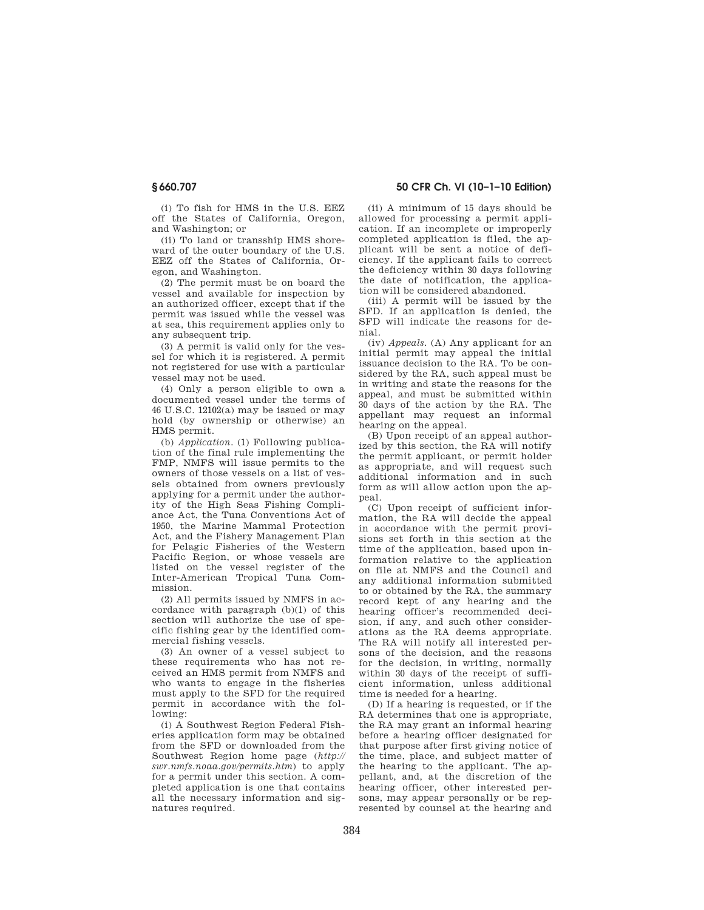(i) To fish for HMS in the U.S. EEZ off the States of California, Oregon, and Washington; or

(ii) To land or transship HMS shoreward of the outer boundary of the U.S. EEZ off the States of California, Oregon, and Washington.

(2) The permit must be on board the vessel and available for inspection by an authorized officer, except that if the permit was issued while the vessel was at sea, this requirement applies only to any subsequent trip.

(3) A permit is valid only for the vessel for which it is registered. A permit not registered for use with a particular vessel may not be used.

(4) Only a person eligible to own a documented vessel under the terms of 46 U.S.C. 12102(a) may be issued or may hold (by ownership or otherwise) an HMS permit.

(b) *Application.* (1) Following publication of the final rule implementing the FMP, NMFS will issue permits to the owners of those vessels on a list of vessels obtained from owners previously applying for a permit under the authority of the High Seas Fishing Compliance Act, the Tuna Conventions Act of 1950, the Marine Mammal Protection Act, and the Fishery Management Plan for Pelagic Fisheries of the Western Pacific Region, or whose vessels are listed on the vessel register of the Inter-American Tropical Tuna Commission.

(2) All permits issued by NMFS in accordance with paragraph (b)(1) of this section will authorize the use of specific fishing gear by the identified commercial fishing vessels.

(3) An owner of a vessel subject to these requirements who has not received an HMS permit from NMFS and who wants to engage in the fisheries must apply to the SFD for the required permit in accordance with the following:

(i) A Southwest Region Federal Fisheries application form may be obtained from the SFD or downloaded from the Southwest Region home page (*http:// swr.nmfs.noaa.gov/permits.htm*) to apply for a permit under this section. A completed application is one that contains all the necessary information and signatures required.

**§ 660.707 50 CFR Ch. VI (10–1–10 Edition)** 

(ii) A minimum of 15 days should be allowed for processing a permit application. If an incomplete or improperly completed application is filed, the applicant will be sent a notice of deficiency. If the applicant fails to correct the deficiency within 30 days following the date of notification, the application will be considered abandoned.

(iii) A permit will be issued by the SFD. If an application is denied, the SFD will indicate the reasons for denial.

(iv) *Appeals.* (A) Any applicant for an initial permit may appeal the initial issuance decision to the RA. To be considered by the RA, such appeal must be in writing and state the reasons for the appeal, and must be submitted within 30 days of the action by the RA. The appellant may request an informal hearing on the appeal.

(B) Upon receipt of an appeal authorized by this section, the RA will notify the permit applicant, or permit holder as appropriate, and will request such additional information and in such form as will allow action upon the appeal.

(C) Upon receipt of sufficient information, the RA will decide the appeal in accordance with the permit provisions set forth in this section at the time of the application, based upon information relative to the application on file at NMFS and the Council and any additional information submitted to or obtained by the RA, the summary record kept of any hearing and the hearing officer's recommended decision, if any, and such other considerations as the RA deems appropriate. The RA will notify all interested persons of the decision, and the reasons for the decision, in writing, normally within 30 days of the receipt of sufficient information, unless additional time is needed for a hearing.

(D) If a hearing is requested, or if the RA determines that one is appropriate, the RA may grant an informal hearing before a hearing officer designated for that purpose after first giving notice of the time, place, and subject matter of the hearing to the applicant. The appellant, and, at the discretion of the hearing officer, other interested persons, may appear personally or be represented by counsel at the hearing and